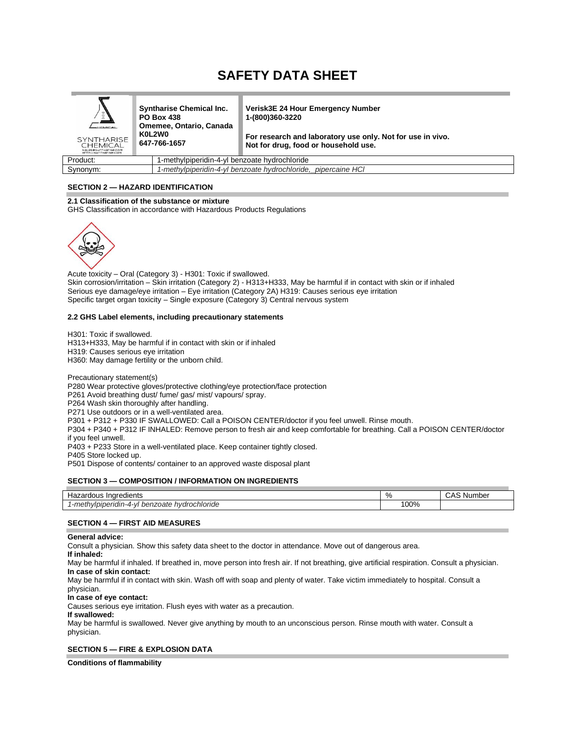# **SAFETY DATA SHEET**

| $\bar{z}$<br><b>HEMICAL</b><br><b>SYNTHARISE</b><br><b>CHEMICAL</b><br>Saleses workarise.com<br>HTTP://SunTHarise.com | <b>Syntharise Chemical Inc.</b><br><b>PO Box 438</b><br>Omemee, Ontario, Canada<br>K0L2W0<br>647-766-1657 |                                               | <b>Verisk3E 24 Hour Emergency Number</b><br>1-(800)360-3220<br>For research and laboratory use only. Not for use in vivo.<br>Not for drug, food or household use. |
|-----------------------------------------------------------------------------------------------------------------------|-----------------------------------------------------------------------------------------------------------|-----------------------------------------------|-------------------------------------------------------------------------------------------------------------------------------------------------------------------|
| Product:                                                                                                              |                                                                                                           | 1-methylpiperidin-4-yl benzoate hydrochloride |                                                                                                                                                                   |
| Synonym:                                                                                                              |                                                                                                           |                                               | 1-methylpiperidin-4-yl benzoate hydrochloride, pipercaine HCl                                                                                                     |

**SECTION 2 — HAZARD IDENTIFICATION**

## **2.1 Classification of the substance or mixture**

GHS Classification in accordance with Hazardous Products Regulations



Acute toxicity – Oral (Category 3) - H301: Toxic if swallowed. Skin corrosion/irritation – Skin irritation (Category 2) - H313+H333, May be harmful if in contact with skin or if inhaled Serious eye damage/eye irritation – Eye irritation (Category 2A) H319: Causes serious eye irritation Specific target organ toxicity – Single exposure (Category 3) Central nervous system

## **2.2 GHS Label elements, including precautionary statements**

H301: Toxic if swallowed. H313+H333, May be harmful if in contact with skin or if inhaled H319: Causes serious eye irritation H360: May damage fertility or the unborn child.

Precautionary statement(s) P280 Wear protective gloves/protective clothing/eye protection/face protection P261 Avoid breathing dust/ fume/ gas/ mist/ vapours/ spray. P264 Wash skin thoroughly after handling. P271 Use outdoors or in a well-ventilated area. P301 + P312 + P330 IF SWALLOWED: Call a POISON CENTER/doctor if you feel unwell. Rinse mouth. P304 + P340 + P312 IF INHALED: Remove person to fresh air and keep comfortable for breathing. Call a POISON CENTER/doctor if you feel unwell. P403 + P233 Store in a well-ventilated place. Keep container tightly closed. P405 Store locked up.

P501 Dispose of contents/ container to an approved waste disposal plant

## **SECTION 3 — COMPOSITION / INFORMATION ON INGREDIENTS**

| Indredients<br>rdous<br>Haza <sub>i</sub>                                      | Ω7<br>70 | Number<br>- |
|--------------------------------------------------------------------------------|----------|-------------|
| hydrochloride<br>$ma + b$<br>znate<br>neı<br>.nineriam-4-v<br>$\cdots$<br>77 U | '00%     |             |

## **SECTION 4 — FIRST AID MEASURES**

#### **General advice:**

Consult a physician. Show this safety data sheet to the doctor in attendance. Move out of dangerous area.

**If inhaled:**

May be harmful if inhaled. If breathed in, move person into fresh air. If not breathing, give artificial respiration. Consult a physician. **In case of skin contact:**

May be harmful if in contact with skin. Wash off with soap and plenty of water. Take victim immediately to hospital. Consult a physician.

## **In case of eye contact:**

Causes serious eye irritation. Flush eyes with water as a precaution.

**If swallowed:**

May be harmful is swallowed. Never give anything by mouth to an unconscious person. Rinse mouth with water. Consult a physician.

## **SECTION 5 — FIRE & EXPLOSION DATA**

**Conditions of flammability**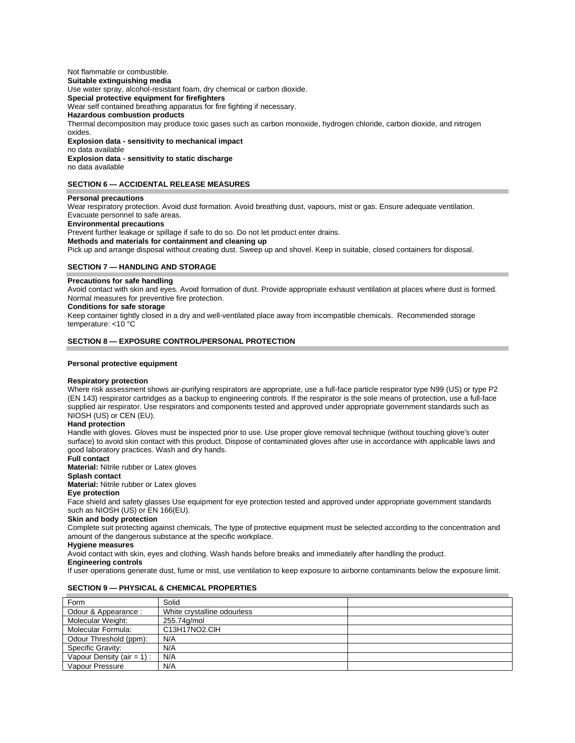#### Not flammable or combustible. **Suitable extinguishing media**  Use water spray, alcohol-resistant foam, dry chemical or carbon dioxide. **Special protective equipment for firefighters**  Wear self contained breathing apparatus for fire fighting if necessary. **Hazardous combustion products**  Thermal decomposition may produce toxic gases such as carbon monoxide, hydrogen chloride, carbon dioxide, and nitrogen oxides. **Explosion data - sensitivity to mechanical impact** no data available **Explosion data - sensitivity to static discharge**  no data available

## **SECTION 6 — ACCIDENTAL RELEASE MEASURES**

## **Personal precautions**

Wear respiratory protection. Avoid dust formation. Avoid breathing dust, vapours, mist or gas. Ensure adequate ventilation. Evacuate personnel to safe areas. **Environmental precautions** 

Prevent further leakage or spillage if safe to do so. Do not let product enter drains. **Methods and materials for containment and cleaning up** 

Pick up and arrange disposal without creating dust. Sweep up and shovel. Keep in suitable, closed containers for disposal.

## **SECTION 7 — HANDLING AND STORAGE**

## **Precautions for safe handling**

Avoid contact with skin and eyes. Avoid formation of dust. Provide appropriate exhaust ventilation at places where dust is formed. Normal measures for preventive fire protection.

# **Conditions for safe storage**

Keep container tightly closed in a dry and well-ventilated place away from incompatible chemicals. Recommended storage temperature: <10 °C

## **SECTION 8 — EXPOSURE CONTROL/PERSONAL PROTECTION**

#### **Personal protective equipment**

## **Respiratory protection**

Where risk assessment shows air-purifying respirators are appropriate, use a full-face particle respirator type N99 (US) or type P2 (EN 143) respirator cartridges as a backup to engineering controls. If the respirator is the sole means of protection, use a full-face supplied air respirator. Use respirators and components tested and approved under appropriate government standards such as NIOSH (US) or CEN (EU).

## **Hand protection**

Handle with gloves. Gloves must be inspected prior to use. Use proper glove removal technique (without touching glove's outer surface) to avoid skin contact with this product. Dispose of contaminated gloves after use in accordance with applicable laws and good laboratory practices. Wash and dry hands.

## **Full contact**

**Material:** Nitrile rubber or Latex gloves

#### **Splash contact**

**Material:** Nitrile rubber or Latex gloves

## **Eye protection**

Face shield and safety glasses Use equipment for eye protection tested and approved under appropriate government standards such as NIOSH (US) or EN 166(EU).

## **Skin and body protection**

Complete suit protecting against chemicals, The type of protective equipment must be selected according to the concentration and amount of the dangerous substance at the specific workplace.

#### **Hygiene measures**

Avoid contact with skin, eyes and clothing. Wash hands before breaks and immediately after handling the product.

## **Engineering controls**

If user operations generate dust, fume or mist, use ventilation to keep exposure to airborne contaminants below the exposure limit.

## **SECTION 9 — PHYSICAL & CHEMICAL PROPERTIES**

| Form                          | Solid                       |  |
|-------------------------------|-----------------------------|--|
| Odour & Appearance :          | White crystalline odourless |  |
| Molecular Weight:             | 255.74g/mol                 |  |
| Molecular Formula:            | C13H17NO2.CIH               |  |
| Odour Threshold (ppm):        | N/A                         |  |
| Specific Gravity:             | N/A                         |  |
| Vapour Density (air = $1$ ) : | N/A                         |  |
| Vapour Pressure               | N/A                         |  |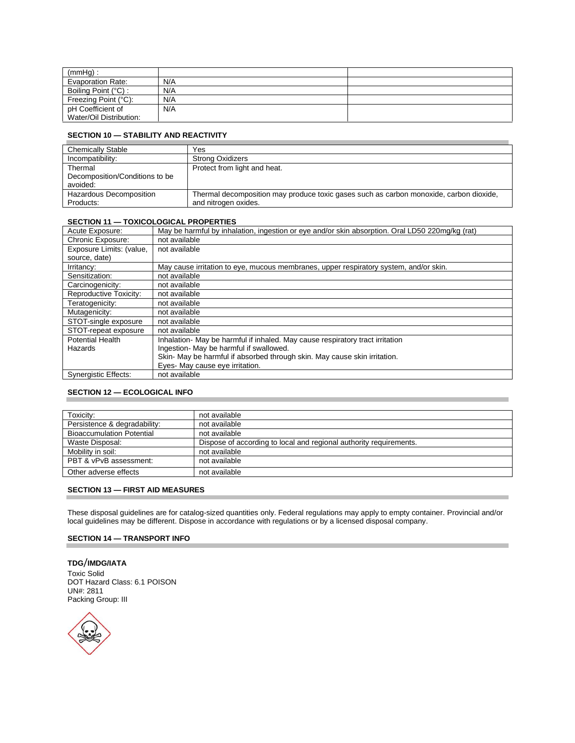| $(mmHq)$ :               |     |  |
|--------------------------|-----|--|
| <b>Evaporation Rate:</b> | N/A |  |
| Boiling Point (°C) :     | N/A |  |
| Freezing Point (°C):     | N/A |  |
| pH Coefficient of        | N/A |  |
| Water/Oil Distribution:  |     |  |

# **SECTION 10 — STABILITY AND REACTIVITY**

| <b>Chemically Stable</b>       | Yes                                                                                    |
|--------------------------------|----------------------------------------------------------------------------------------|
| Incompatibility:               | <b>Strong Oxidizers</b>                                                                |
| Thermal                        | Protect from light and heat.                                                           |
| Decomposition/Conditions to be |                                                                                        |
| avoided:                       |                                                                                        |
| Hazardous Decomposition        | Thermal decomposition may produce toxic gases such as carbon monoxide, carbon dioxide, |
| Products:                      | and nitrogen oxides.                                                                   |

# **SECTION 11 — TOXICOLOGICAL PROPERTIES**

| Acute Exposure:             | May be harmful by inhalation, ingestion or eye and/or skin absorption. Oral LD50 220mg/kg (rat) |
|-----------------------------|-------------------------------------------------------------------------------------------------|
| Chronic Exposure:           | not available                                                                                   |
| Exposure Limits: (value,    | not available                                                                                   |
| source, date)               |                                                                                                 |
| Irritancy:                  | May cause irritation to eye, mucous membranes, upper respiratory system, and/or skin.           |
| Sensitization:              | not available                                                                                   |
| Carcinogenicity:            | not available                                                                                   |
| Reproductive Toxicity:      | not available                                                                                   |
| Teratogenicity:             | not available                                                                                   |
| Mutagenicity:               | not available                                                                                   |
| STOT-single exposure        | not available                                                                                   |
| STOT-repeat exposure        | not available                                                                                   |
| <b>Potential Health</b>     | Inhalation - May be harmful if inhaled. May cause respiratory tract irritation                  |
| Hazards                     | Ingestion- May be harmful if swallowed.                                                         |
|                             | Skin- May be harmful if absorbed through skin. May cause skin irritation.                       |
|                             | Eyes- May cause eye irritation.                                                                 |
| <b>Synergistic Effects:</b> | not available                                                                                   |

## **SECTION 12 — ECOLOGICAL INFO**

| Toxicity:                        | not available                                                      |
|----------------------------------|--------------------------------------------------------------------|
| Persistence & degradability:     | not available                                                      |
| <b>Bioaccumulation Potential</b> | not available                                                      |
| Waste Disposal:                  | Dispose of according to local and regional authority requirements. |
| Mobility in soil:                | not available                                                      |
| PBT & vPvB assessment:           | not available                                                      |
| Other adverse effects            | not available                                                      |

# **SECTION 13 — FIRST AID MEASURES**

These disposal guidelines are for catalog-sized quantities only. Federal regulations may apply to empty container. Provincial and/or local guidelines may be different. Dispose in accordance with regulations or by a licensed disposal company.

# **SECTION 14 — TRANSPORT INFO**

**TDG**/**IMDG/IATA** Toxic Solid DOT Hazard Class: 6.1 POISON UN#: 2811 Packing Group: III